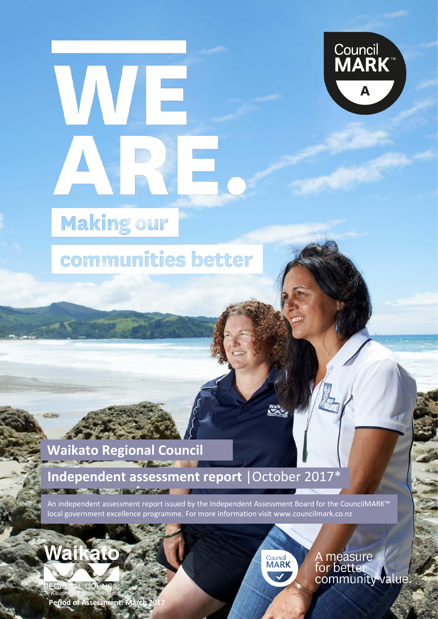



# **Making our**

## communities better

### **Waikato Regional Council**

### **Independent assessment report** |October 2017\* **AT A 1990 CAR AN AN AN AN AN AN**

An independent assessment report issued by the Independent Assessment Board for the CouncilMARK™ local government excellence programme. For more information visit www.councilmark.co.nz



1 MBIE 2016  $PECIONAT$ 

3 DIA 2013 1 e Kauniner \* **Period of Assessment: Ma** 



A measure<br>for better<br>community value.

**Waikato Regional Council assessment report 1**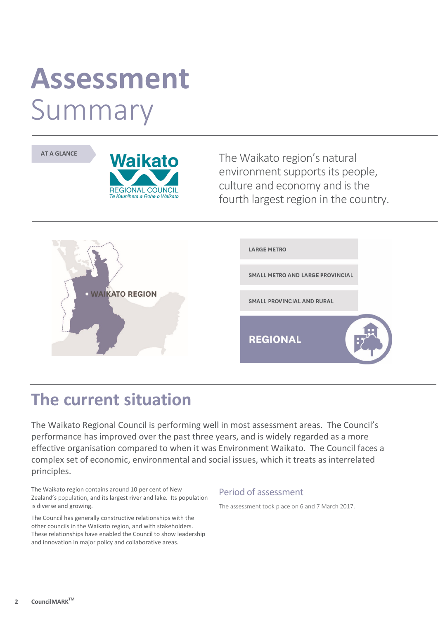# **Assessment** Summary





The Waikato region's natural environment supports its people, culture and economy and is the fourth largest region in the country.



### **The current situation**

The Waikato Regional Council is performing well in most assessment areas. The Council's performance has improved over the past three years, and is widely regarded as a more effective organisation compared to when it was Environment Waikato. The Council faces a complex set of economic, environmental and social issues, which it treats as interrelated principles.

The Waikato region contains around 10 per cent of New Zealand's population, and its largest river and lake. Its population is diverse and growing.

The Council has generally constructive relationships with the other councils in the Waikato region, and with stakeholders. These relationships have enabled the Council to show leadership and innovation in major policy and collaborative areas.

#### Period of assessment

The assessment took place on 6 and 7 March 2017.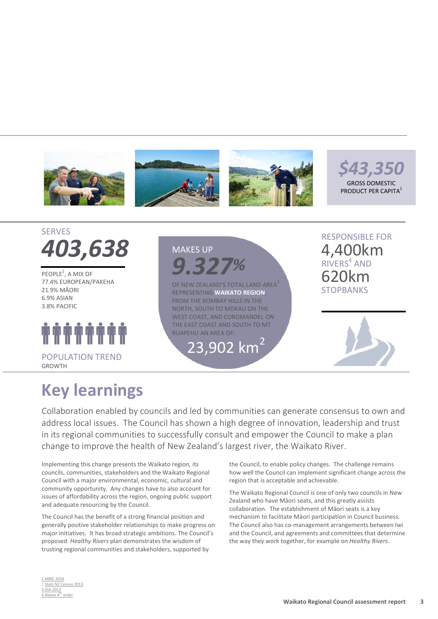



PEOPLE<sup>2</sup>, A MIX OF 77.4% EUROPEAN/PAKEHA 21.9% MĀORI 6.9% ASIAN 3.8% PACIFIC



### MAKES UP *9.327%*

OF NEW ZEALAND'S TOTAL LAND AREA<sup>3</sup> REPRESENTING **WAIKATO REGION**, FROM THE BOMBAY HILLS IN THE NORTH, SOUTH TO MOKAU ON THE WEST COAST, AND COROMANDEL ON THE EAST COAST AND SOUTH TO MT RUAPEHU AN AREA OF:

23,902 km<sup>2</sup>

RESPONSIBLE FOR 4,400km RIVERS<sup>4</sup> AND 620km **STOPBANKS** 



### **Key learnings**

Collaboration enabled by councils and led by communities can generate consensus to own and address local issues. The Council has shown a high degree of innovation, leadership and trust in its regional communities to successfully consult and empower the Council to make a plan change to improve the health of New Zealand's largest river, the Waikato River.

Implementing this change presents the Waikato region, its councils, communities, stakeholders and the Waikato Regional Council with a major environmental, economic, cultural and community opportunity. Any changes have to also account for issues of affordability across the region, ongoing public support and adequate resourcing by the Council.

The Council has the benefit of a strong financial position and generally positive stakeholder relationships to make progress on major initiatives. It has broad strategic ambitions. The Council's proposed *Healthy Rivers* plan demonstrates the wisdom of trusting regional communities and stakeholders, supported by

the Council, to enable policy changes. The challenge remains how well the Council can implement significant change across the region that is acceptable and achievable.

The Waikato Regional Council is one of only two councils in New Zealand who have Māori seats, and this greatly assists collaboration. The establishment of Māori seats is a key mechanism to facilitate Māori participation in Council business. The Council also has co-management arrangements between Iwi and the Council, and agreements and committees that determine the way they work together, for example on *Healthy Rivers*.

#### 1 MBIE 2016 2 [Stats](http://www.stats.govt.nz/Census/2013-census/data-tables/population-dwelling-tables.aspx) NZ Census 2013 3 DIA 2013  $\frac{1}{4}$  Above  $4^{\text{th}}$  order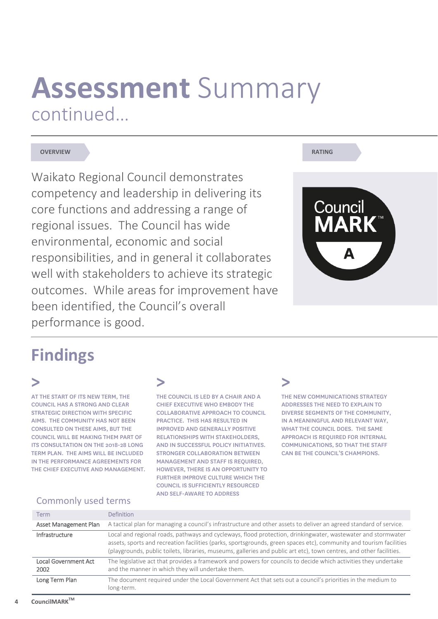# **Assessment** Summary continued…

#### **OVERVIEW RATING**

Waikato Regional Council demonstrates competency and leadership in delivering its core functions and addressing a range of regional issues. The Council has wide environmental, economic and social responsibilities, and in general it collaborates well with stakeholders to achieve its strategic outcomes. While areas for improvement have been identified, the Council's overall performance is good.



### **Findings**

### **>**

AT THE START OF ITS NEW TERM, THE COUNCIL HAS A STRONG AND CLEAR STRATEGIC DIRECTION WITH SPECIFIC AIMS. THE COMMUNITY HAS NOT BEEN CONSULTED ON THESE AIMS, BUT THE COUNCIL WILL BE MAKING THEM PART OF ITS CONSULTATION ON THE 2018-28 LONG TERM PLAN. THE AIMS WILL BE INCLUDED IN THE PERFORMANCE AGREEMENTS FOR THE CHIEF EXECUTIVE AND MANAGEMENT.

### **>**

THE COUNCIL IS LED BY A CHAIR AND A CHIEF EXECUTIVE WHO EMBODY THE COLLABORATIVE APPROACH TO COUNCIL PRACTICE. THIS HAS RESULTED IN IMPROVED AND GENERALLY POSITIVE RELATIONSHIPS WITH STAKEHOLDERS, AND IN SUCCESSFUL POLICY INITIATIVES. STRONGER COLLABORATION BETWEEN MANAGEMENT AND STAFF IS REQUIRED, HOWEVER, THERE IS AN OPPORTUNITY TO FURTHER IMPROVE CULTURE WHICH THE COUNCIL IS SUFFICIENTLY RESOURCED AND SELF-AWARE TO ADDRESS

### **>**

THE NEW COMMUNICATIONS STRATEGY ADDRESSES THE NEED TO EXPLAIN TO DIVERSE SEGMENTS OF THE COMMUNITY, IN A MEANINGFUL AND RELEVANT WAY, WHAT THE COUNCIL DOES. THE SAME APPROACH IS REQUIRED FOR INTERNAL COMMUNICATIONS, SO THAT THE STAFF CAN BE THE COUNCIL'S CHAMPIONS.

#### Commonly used terms

| <b>Term</b>                  | <b>Definition</b>                                                                                                                                                                                                                                                                                                                                           |
|------------------------------|-------------------------------------------------------------------------------------------------------------------------------------------------------------------------------------------------------------------------------------------------------------------------------------------------------------------------------------------------------------|
| <b>Asset Management Plan</b> | A tactical plan for managing a council's infrastructure and other assets to deliver an agreed standard of service.                                                                                                                                                                                                                                          |
| Infrastructure               | Local and regional roads, pathways and cycleways, flood protection, drinkingwater, wastewater and stormwater<br>assets, sports and recreation facilities (parks, sportsgrounds, green spaces etc), community and tourism facilities<br>(playgrounds, public toilets, libraries, museums, galleries and public art etc), town centres, and other facilities. |
| Local Government Act<br>2002 | The legislative act that provides a framework and powers for councils to decide which activities they undertake<br>and the manner in which they will undertake them.                                                                                                                                                                                        |
| Long Term Plan               | The document required under the Local Government Act that sets out a council's priorities in the medium to<br>long-term.                                                                                                                                                                                                                                    |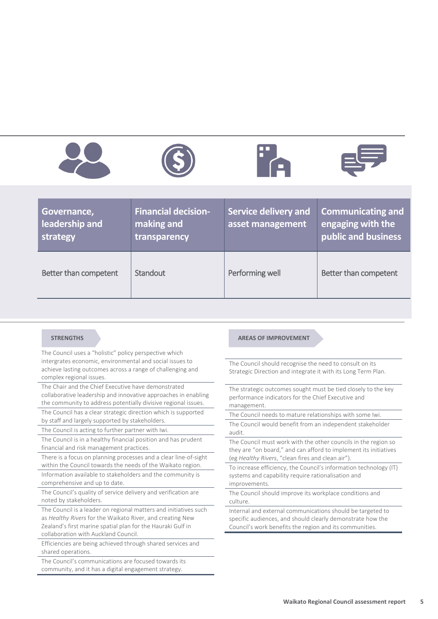







| Governance,<br>leadership and<br>strategy | <b>Financial decision-</b><br>making and<br>transparency | Service delivery and<br>asset management | <b>Communicating and</b><br>engaging with the<br>public and business |
|-------------------------------------------|----------------------------------------------------------|------------------------------------------|----------------------------------------------------------------------|
| Better than competent                     | Standout                                                 | Performing well                          | Better than competent                                                |

The Council uses a "holistic" policy perspective which intergrates economic, environmental and social issues to achieve lasting outcomes across a range of challenging and complex regional issues.

The Chair and the Chief Executive have demonstrated collaborative leadership and innovative approaches in enabling the community to address potentially divisive regional issues.

The Council has a clear strategic direction which is supported by staff and largely supported by stakeholders.

The Council is acting to further partner with Iwi.

The Council is in a healthy financial position and has prudent financial and risk management practices.

There is a focus on planning processes and a clear line-of-sight within the Council towards the needs of the Waikato region. Information available to stakeholders and the community is

comprehensive and up to date. The Council's quality of service delivery and verification are

noted by stakeholders.

The Council is a leader on regional matters and initiatives such as *Healthy Rivers* for the Waikato River, and creating New Zealand's first marine spatial plan for the Hauraki Gulf in collaboration with Auckland Council.

Efficiencies are being achieved through shared services and shared operations.

The Council's communications are focused towards its community, and it has a digital engagement strategy.

#### **STRENGTHS AREAS OF IMPROVEMENT**

The Council should recognise the need to consult on its Strategic Direction and integrate it with its Long Term Plan.

The strategic outcomes sought must be tied closely to the key performance indicators for the Chief Executive and management.

The Council needs to mature relationships with some Iwi.

The Council would benefit from an independent stakeholder audit.

The Council must work with the other councils in the region so they are "on board," and can afford to implement its initiatives (eg *Healthy Rivers*, "clean fires and clean air").

To increase efficiency, the Council's information technology (IT) systems and capability require rationalisation and improvements.

The Council should improve its workplace conditions and culture.

Internal and external communications should be targeted to specific audiences, and should clearly demonstrate how the Council's work benefits the region and its communities.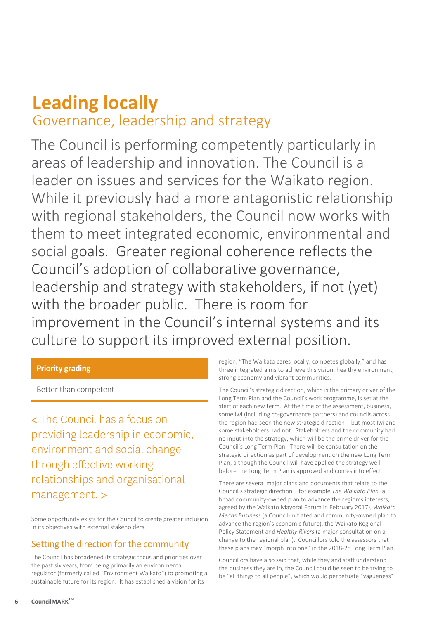## **Leading locally**

Governance, leadership and strategy

The Council is performing competently particularly in areas of leadership and innovation. The Council is a leader on issues and services for the Waikato region. While it previously had a more antagonistic relationship with regional stakeholders, the Council now works with them to meet integrated economic, environmental and social goals. Greater regional coherence reflects the Council's adoption of collaborative governance, leadership and strategy with stakeholders, if not (yet) with the broader public. There is room for improvement in the Council's internal systems and its culture to support its improved external position.

#### **Priority grading**

Better than competent

< The Council has a focus on providing leadership in economic, environment and social change through effective working relationships and organisational management. >

Some opportunity exists for the Council to create greater inclusion in its objectives with external stakeholders.

#### Setting the direction for the community

The Council has broadened its strategic focus and priorities over the past six years, from being primarily an environmental regulator (formerly called "Environment Waikato") to promoting a sustainable future for its region. It has established a vision for its

region, "The Waikato cares locally, competes globally," and has three integrated aims to achieve this vision: healthy environment, strong economy and vibrant communities.

The Council's strategic direction, which is the primary driver of the Long Term Plan and the Council's work programme, is set at the start of each new term. At the time of the assessment, business, some Iwi (including co-governance partners) and councils across the region had seen the new strategic direction – but most Iwi and some stakeholders had not. Stakeholders and the community had no input into the strategy, which will be the prime driver for the Council's Long Term Plan. There will be consultation on the strategic direction as part of development on the new Long Term Plan, although the Council will have applied the strategy well before the Long Term Plan is approved and comes into effect.

There are several major plans and documents that relate to the Council's strategic direction – for example *The Waikato Plan* (a broad community-owned plan to advance the region's interests, agreed by the Waikato Mayoral Forum in February 2017), *Waikato Means Business* (a Council-initiated and community-owned plan to advance the region's economic future), the Waikato Regional Policy Statement and *Healthy Rivers* (a major consultation on a change to the regional plan). Councillors told the assessors that these plans may "morph into one" in the 2018-28 Long Term Plan.

Councillors have also said that, while they and staff understand the business they are in, the Council could be seen to be trying to be "all things to all people", which would perpetuate "vagueness"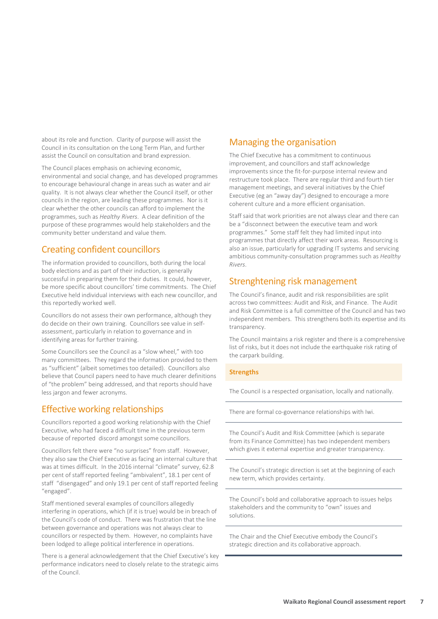about its role and function. Clarity of purpose will assist the Council in its consultation on the Long Term Plan, and further assist the Council on consultation and brand expression.

The Council places emphasis on achieving economic, environmental and social change, and has developed programmes to encourage behavioural change in areas such as water and air quality. It is not always clear whether the Council itself, or other councils in the region, are leading these programmes. Nor is it clear whether the other councils can afford to implement the programmes, such as *Healthy Rivers*. A clear definition of the purpose of these programmes would help stakeholders and the community better understand and value them.

#### Creating confident councillors

The information provided to councillors, both during the local body elections and as part of their induction, is generally successful in preparing them for their duties. It could, however, be more specific about councillors' time commitments. The Chief Executive held individual interviews with each new councillor, and this reportedly worked well.

Councillors do not assess their own performance, although they do decide on their own training. Councillors see value in selfassessment, particularly in relation to governance and in identifying areas for further training.

Some Councillors see the Council as a "slow wheel," with too many committees. They regard the information provided to them as "sufficient" (albeit sometimes too detailed). Councillors also believe that Council papers need to have much clearer definitions of "the problem" being addressed, and that reports should have less jargon and fewer acronyms.

#### Effective working relationships

Councillors reported a good working relationship with the Chief Executive, who had faced a difficult time in the previous term because of reported discord amongst some councillors.

Councillors felt there were "no surprises" from staff. However, they also saw the Chief Executive as facing an internal culture that was at times difficult. In the 2016 internal "climate" survey, 62.8 per cent of staff reported feeling "ambivalent", 18.1 per cent of staff "disengaged" and only 19.1 per cent of staff reported feeling "engaged".

Staff mentioned several examples of councillors allegedly interfering in operations, which (if it is true) would be in breach of the Council's code of conduct. There was frustration that the line between governance and operations was not always clear to councillors or respected by them. However, no complaints have been lodged to allege political interference in operations.

There is a general acknowledgement that the Chief Executive's key performance indicators need to closely relate to the strategic aims of the Council.

#### Managing the organisation

The Chief Executive has a commitment to continuous improvement, and councillors and staff acknowledge improvements since the fit-for-purpose internal review and restructure took place. There are regular third and fourth tier management meetings, and several initiatives by the Chief Executive (eg an "away day") designed to encourage a more coherent culture and a more efficient organisation.

Staff said that work priorities are not always clear and there can be a "disconnect between the executive team and work programmes." Some staff felt they had limited input into programmes that directly affect their work areas. Resourcing is also an issue, particularly for upgrading IT systems and servicing ambitious community-consultation programmes such as *Healthy Rivers*.

#### Strenghtening risk management

The Council's finance, audit and risk responsibilities are split across two committees: Audit and Risk, and Finance. The Audit and Risk Committee is a full committee of the Council and has two independent members. This strengthens both its expertise and its transparency.

The Council maintains a risk register and there is a comprehensive list of risks, but it does not include the earthquake risk rating of the carpark building.

#### **Strengths**

The Council is a respected organisation, locally and nationally.

There are formal co-governance relationships with Iwi.

The Council's Audit and Risk Committee (which is separate from its Finance Committee) has two independent members which gives it external expertise and greater transparency.

The Council's strategic direction is set at the beginning of each new term, which provides certainty.

The Council's bold and collaborative approach to issues helps stakeholders and the community to "own" issues and solutions.

The Chair and the Chief Executive embody the Council's strategic direction and its collaborative approach.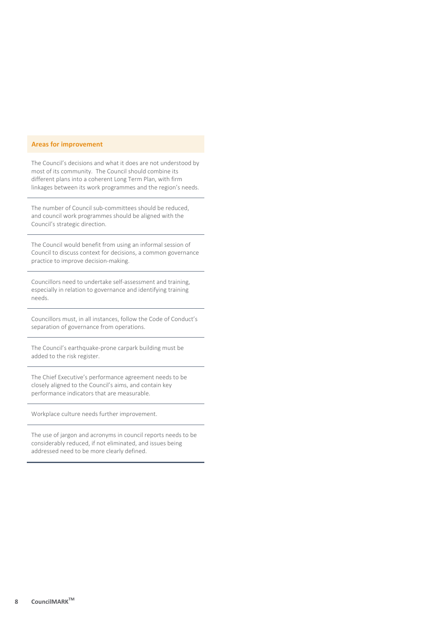#### **Areas for improvement**

The Council's decisions and what it does are not understood by most of its community. The Council should combine its different plans into a coherent Long Term Plan, with firm linkages between its work programmes and the region's needs.

The number of Council sub-committees should be reduced, and council work programmes should be aligned with the Council's strategic direction.

The Council would benefit from using an informal session of Council to discuss context for decisions, a common governance practice to improve decision-making.

Councillors need to undertake self-assessment and training, especially in relation to governance and identifying training needs.

Councillors must, in all instances, follow the Code of Conduct's separation of governance from operations.

The Council's earthquake-prone carpark building must be added to the risk register.

The Chief Executive's performance agreement needs to be closely aligned to the Council's aims, and contain key performance indicators that are measurable.

Workplace culture needs further improvement.

The use of jargon and acronyms in council reports needs to be considerably reduced, if not eliminated, and issues being addressed need to be more clearly defined.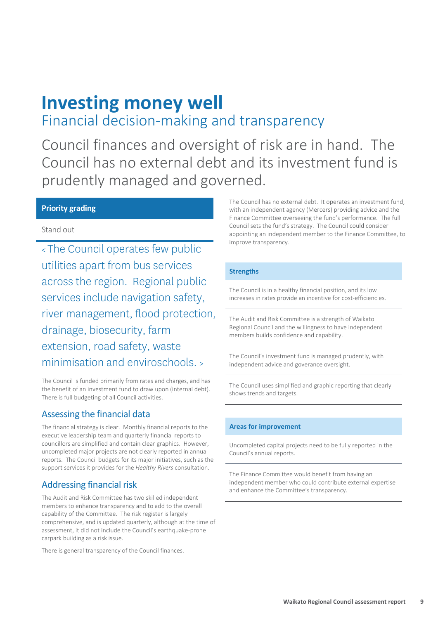### **Investing money well** Financial decision-making and transparency

Council finances and oversight of risk are in hand. The Council has no external debt and its investment fund is prudently managed and governed.

#### **Priority grading**

#### Stand out

<sup>&</sup>lt; The Council operates few public utilities apart from bus services across the region. Regional public services include navigation safety, river management, flood protection, drainage, biosecurity, farm extension, road safety, waste minimisation and enviroschools. <sup>&</sup>gt;

The Council is funded primarily from rates and charges, and has the benefit of an investment fund to draw upon (internal debt). There is full budgeting of all Council activities.

#### Assessing the financial data

The financial strategy is clear. Monthly financial reports to the executive leadership team and quarterly financial reports to councillors are simplified and contain clear graphics. However, uncompleted major projects are not clearly reported in annual reports. The Council budgets for its major initiatives, such as the support services it provides for the *Healthy Rivers* consultation.

#### Addressing financial risk

The Audit and Risk Committee has two skilled independent members to enhance transparency and to add to the overall capability of the Committee. The risk register is largely comprehensive, and is updated quarterly, although at the time of assessment, it did not include the Council's earthquake-prone carpark building as a risk issue.

There is general transparency of the Council finances.

The Council has no external debt. It operates an investment fund, with an independent agency (Mercers) providing advice and the Finance Committee overseeing the fund's performance. The full Council sets the fund's strategy. The Council could consider appointing an independent member to the Finance Committee, to improve transparency.

#### **Strengths**

The Council is in a healthy financial position, and its low increases in rates provide an incentive for cost-efficiencies.

The Audit and Risk Committee is a strength of Waikato Regional Council and the willingness to have independent members builds confidence and capability.

The Council's investment fund is managed prudently, with independent advice and goverance oversight.

The Council uses simplified and graphic reporting that clearly shows trends and targets.

#### **Areas for improvement**

Uncompleted capital projects need to be fully reported in the Council's annual reports.

The Finance Committee would benefit from having an independent member who could contribute external expertise and enhance the Committee's transparency.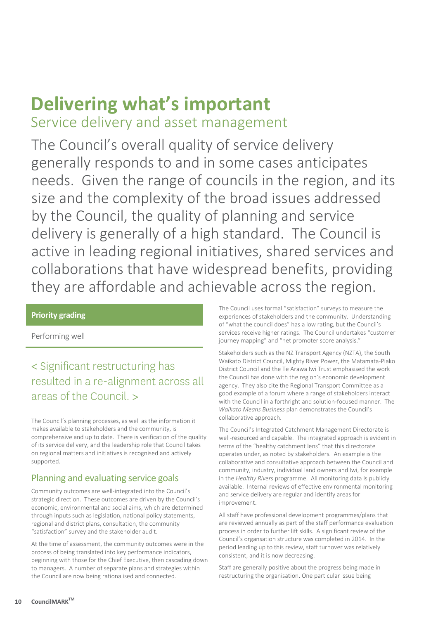# **Delivering what's important**

Service delivery and asset management

The Council's overall quality of service delivery generally responds to and in some cases anticipates needs. Given the range of councils in the region, and its size and the complexity of the broad issues addressed by the Council, the quality of planning and service delivery is generally of a high standard. The Council is active in leading regional initiatives, shared services and collaborations that have widespread benefits, providing they are affordable and achievable across the region.

#### **Priority grading**

Performing well

### < Significant restructuring has resulted in a re-alignment across all areas of the Council. >

The Council's planning processes, as well as the information it makes available to stakeholders and the community, is comprehensive and up to date. There is verification of the quality of its service delivery, and the leadership role that Council takes on regional matters and initiatives is recognised and actively supported.

#### Planning and evaluating service goals

Community outcomes are well-integrated into the Council's strategic direction. These outcomes are driven by the Council's economic, environmental and social aims, which are determined through inputs such as legislation, national policy statements, regional and district plans, consultation, the community "satisfaction" survey and the stakeholder audit.

At the time of assessment, the community outcomes were in the process of being translated into key performance indicators, beginning with those for the Chief Executive, then cascading down to managers. A number of separate plans and strategies within the Council are now being rationalised and connected.

The Council uses formal "satisfaction" surveys to measure the experiences of stakeholders and the community. Understanding of "what the council does" has a low rating, but the Council's services receive higher ratings. The Council undertakes "customer journey mapping" and "net promoter score analysis."

Stakeholders such as the NZ Transport Agency (NZTA), the South Waikato District Council, Mighty River Power, the Matamata-Piako District Council and the Te Arawa Iwi Trust emphasised the work the Council has done with the region's economic development agency. They also cite the Regional Transport Committee as a good example of a forum where a range of stakeholders interact with the Council in a forthright and solution-focused manner. The *Waikato Means Business* plan demonstrates the Council's collaborative approach.

The Council's Integrated Catchment Management Directorate is well-resourced and capable. The integrated approach is evident in terms of the "healthy catchment lens" that this directorate operates under, as noted by stakeholders. An example is the collaborative and consultative approach between the Council and community, industry, individual land owners and Iwi, for example in the *Healthy Rivers* programme. All monitoring data is publicly available. Internal reviews of effective environmental monitoring and service delivery are regular and identify areas for improvement.

All staff have professional development programmes/plans that are reviewed annually as part of the staff performance evaluation process in order to further lift skills. A significant review of the Council's organsation structure was completed in 2014. In the period leading up to this review, staff turnover was relatively consistent, and it is now decreasing.

Staff are generally positive about the progress being made in restructuring the organisation. One particular issue being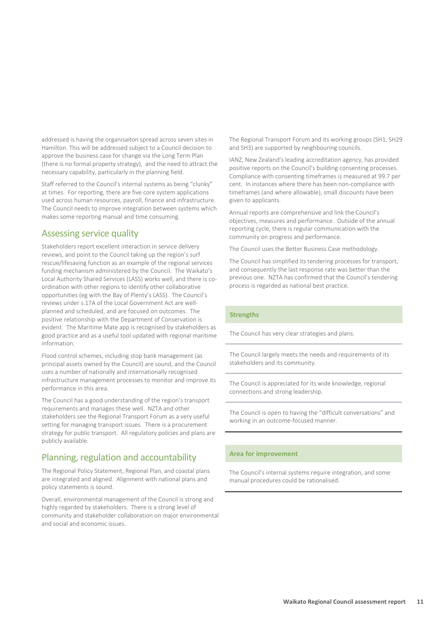addressed is having the organisaiton spread across seven sites in Hamilton. This will be addressed subject to a Council decision to approve the business case for change via the Long Term Plan (there is no formal property strategy), and the need to attract the necessary capability, particularly in the planning field.

Staff referred to the Council's internal systems as being "clunky" at times. For reporting, there are five core system applications used across human resources, payroll, finance and infrastructure. The Council needs to improve integration between systems which makes some reporting manual and time consuming.

#### Assessing service quality

Stakeholders report excellent interaction in service delivery reviews, and point to the Council taking up the region's surf rescue/lifesaving function as an example of the regional services funding mechanism administered by the Council. The Waikato's Local Authority Shared Services (LASS) works well, and there is coordination with other regions to identify other collaborative opportunities (eg with the Bay of Plenty's LASS). The Council's reviews under s.17A of the Local Government Act are wellplanned and scheduled, and are focused on outcomes. The positive relationship with the Department of Conservation is evident. The Maritime Mate app is recognised by stakeholders as good practice and as a useful tool updated with regional maritime information.

Flood control schemes, including stop bank management (as principal assets owned by the Council) are sound, and the Council uses a number of nationally and internationally recognised infrastructure management processes to monitor and improve its performance in this area.

The Council has a good understanding of the region's transport requirements and manages these well. NZTA and other stakeholders see the Regional Transport Forum as a very useful setting for managing transport issues. There is a procurement strategy for public transport. All regulatory policies and plans are publicly available.

#### Planning, regulation and accountability

The Regional Policy Statement, Regional Plan, and coastal plans are integrated and aligned. Alignment with national plans and policy statements is sound.

Overall, environmental management of the Council is strong and highly regarded by stakeholders. There is a strong level of community and stakeholder collaboration on major environmental and social and economic issues.

The Regional Transport Forum and its working groups (SH1, SH29 and SH3) are supported by neighbouring councils.

IANZ, New Zealand's leading accreditation agency, has provided positive reports on the Council's building consenting processes. Compliance with consenting timeframes is measured at 99.7 per cent. In instances where there has been non-compliance with timeframes (and where allowable), small discounts have been given to applicants.

Annual reports are comprehensive and link the Council's objectives, measures and performance. Outside of the annual reporting cycle, there is regular communication with the community on progress and performance.

The Council uses the Better Business Case methodology.

The Council has simplified its tendering processes for transport, and consequently the last response rate was better than the previous one. NZTA has confirmed that the Council's tendering process is regarded as national best practice.

#### **Strengths**

The Council has very clear strategies and plans.

The Council largely meets the needs and requirements of its stakeholders and its community.

The Council is appreciated for its wide knowledge, regional connections and strong leadership.

The Council is open to having the "difficult conversations" and working in an outcome-focused manner.

#### **Area for improvement**

The Council's internal systems require integration, and some manual procedures could be rationalised.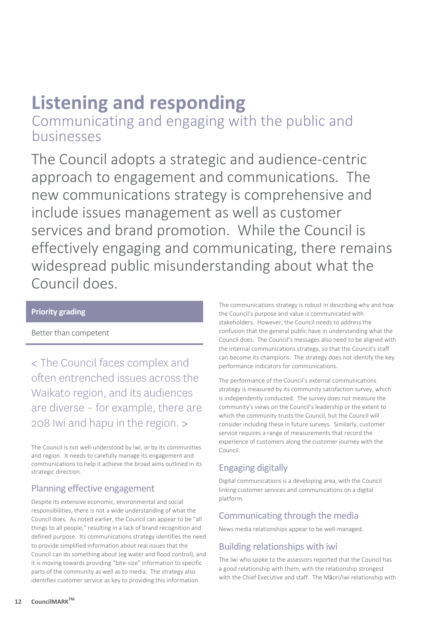# **Listening and responding**

Communicating and engaging with the public and businesses

The Council adopts a strategic and audience-centric approach to engagement and communications. The new communications strategy is comprehensive and include issues management as well as customer services and brand promotion. While the Council is effectively engaging and communicating, there remains widespread public misunderstanding about what the Council does.

#### **Priority grading**

Better than competent

< The Council faces complex and often entrenched issues across the Waikato region, and its audiences are diverse – for example, there are 208 Iwi and hapu in the region. >

The Council is not well-understood by Iwi, or by its communities and region. It needs to carefully manage its engagement and communications to help it achieve the broad aims outlined in its strategic direction.

#### Planning effective engagement

Despite its extensive economic, environmental and social responsibilities, there is not a wide understanding of what the Council does. As noted earlier, the Council can appear to be "all things to all people," resulting in a lack of brand recognition and defined purpose. Its communications strategy identifies the need to provide simplified information about real issues that the Council can do something about (eg water and flood control), and it is moving towards providing "bite-size" information to specific parts of the community as well as to media. The strategy also identifies customer service as key to providing this information.

The communications strategy is robust in describing why and how the Council's purpose and value is communicated with stakeholders. However, the Council needs to address the confusion that the general public have in understanding what the Council does. The Council's messages also need to be aligned with the internal communications strategy, so that the Council's staff can become its champions. The strategy does not identify the key performance indicators for communications.

The performance of the Council's external communications strategy is measured by its community satisfaction survey, which is independently conducted. The survey does not measure the community's views on the Council's leadership or the extent to which the community trusts the Council, but the Council will consider including these in future surveys. Similarly, customer service requires a range of measurements that record the experience of customers along the customer journey with the Council.

### Engaging digitally

Digital communications is a developing area, with the Council linking customer services and communications on a digital platform.

#### Communicating through the media

News media relationships appear to be well-managed.

### Building relationships with iwi

The Iwi who spoke to the assessors reported that the Council has a good relationship with them, with the relationship strongest with the Chief Executive and staff. The Māori/iwi relationship with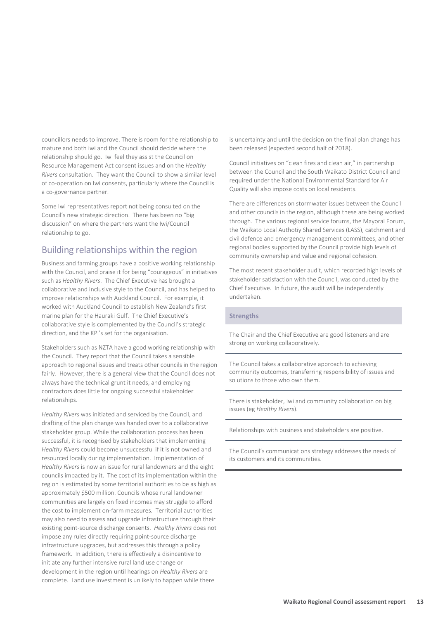councillors needs to improve. There is room for the relationship to mature and both iwi and the Council should decide where the relationship should go. Iwi feel they assist the Council on Resource Management Act consent issues and on the *Healthy Rivers* consultation. They want the Council to show a similar level of co-operation on Iwi consents, particularly where the Council is a co-governance partner.

Some Iwi representatives report not being consulted on the Council's new strategic direction. There has been no "big discussion" on where the partners want the Iwi/Council relationship to go.

#### Building relationships within the region

Business and farming groups have a positive working relationship with the Council, and praise it for being "courageous" in initiatives such as *Healthy Rivers*. The Chief Executive has brought a collaborative and inclusive style to the Council, and has helped to improve relationships with Auckland Council. For example, it worked with Auckland Council to establish New Zealand's first marine plan for the Hauraki Gulf. The Chief Executive's collaborative style is complemented by the Council's strategic direction, and the KPI's set for the organisation.

Stakeholders such as NZTA have a good working relationship with the Council. They report that the Council takes a sensible approach to regional issues and treats other councils in the region fairly. However, there is a general view that the Council does not always have the technical grunt it needs, and employing contractors does little for ongoing successful stakeholder relationships.

*Healthy Rivers* was initiated and serviced by the Council, and drafting of the plan change was handed over to a collaborative stakeholder group. While the collaboration process has been successful, it is recognised by stakeholders that implementing *Healthy Rivers* could become unsuccessful if it is not owned and resourced locally during implementation. Implementation of *Healthy Rivers* is now an issue for rural landowners and the eight councils impacted by it. The cost of its implementation within the region is estimated by some territorial authorities to be as high as approximately \$500 million. Councils whose rural landowner communities are largely on fixed incomes may struggle to afford the cost to implement on-farm measures. Territorial authorities may also need to assess and upgrade infrastructure through their existing point-source discharge consents. *Healthy Rivers* does not impose any rules directly requiring point-source discharge infrastructure upgrades, but addresses this through a policy framework. In addition, there is effectively a disincentive to initiate any further intensive rural land use change or development in the region until hearings on *Healthy Rivers* are complete. Land use investment is unlikely to happen while there

is uncertainty and until the decision on the final plan change has been released (expected second half of 2018).

Council initiatives on "clean fires and clean air," in partnership between the Council and the South Waikato District Council and required under the National Environmental Standard for Air Quality will also impose costs on local residents.

There are differences on stormwater issues between the Council and other councils in the region, although these are being worked through. The various regional service forums, the Mayoral Forum, the Waikato Local Authotiy Shared Services (LASS), catchment and civil defence and emergency management committees, and other regional bodies supported by the Council provide high levels of community ownership and value and regional cohesion.

The most recent stakeholder audit, which recorded high levels of stakeholder satisfaction with the Council, was conducted by the Chief Executive. In future, the audit will be independently undertaken.

#### **Strengths**

The Chair and the Chief Executive are good listeners and are strong on working collaboratively.

The Council takes a collaborative approach to achieving community outcomes, transferring responsibility of issues and solutions to those who own them.

There is stakeholder, Iwi and community collaboration on big issues (eg *Healthy Rivers*).

Relationships with business and stakeholders are positive.

The Council's communications strategy addresses the needs of its customers and its communities.